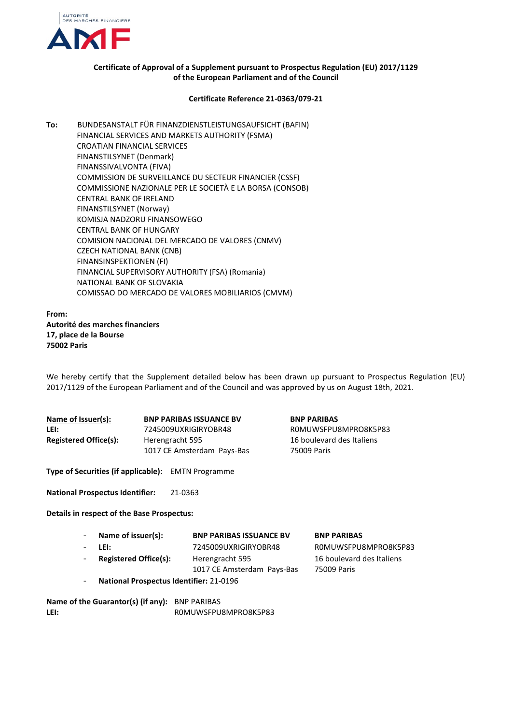

## **Certificate of Approval of a Supplement pursuant to Prospectus Regulation (EU) 2017/1129 of the European Parliament and of the Council**

## **Certificate Reference 21-0363/079-21**

**To:** BUNDESANSTALT FÜR FINANZDIENSTLEISTUNGSAUFSICHT (BAFIN) FINANCIAL SERVICES AND MARKETS AUTHORITY (FSMA) CROATIAN FINANCIAL SERVICES FINANSTILSYNET (Denmark) FINANSSIVALVONTA (FIVA) COMMISSION DE SURVEILLANCE DU SECTEUR FINANCIER (CSSF) COMMISSIONE NAZIONALE PER LE SOCIETÀ E LA BORSA (CONSOB) CENTRAL BANK OF IRELAND FINANSTILSYNET (Norway) KOMISJA NADZORU FINANSOWEGO CENTRAL BANK OF HUNGARY COMISION NACIONAL DEL MERCADO DE VALORES (CNMV) CZECH NATIONAL BANK (CNB) FINANSINSPEKTIONEN (FI) FINANCIAL SUPERVISORY AUTHORITY (FSA) (Romania) NATIONAL BANK OF SLOVAKIA COMISSAO DO MERCADO DE VALORES MOBILIARIOS (CMVM)

**From: Autorité des marches financiers 17, place de la Bourse 75002 Paris**

We hereby certify that the Supplement detailed below has been drawn up pursuant to Prospectus Regulation (EU) 2017/1129 of the European Parliament and of the Council and was approved by us on August 18th, 2021.

| Name of Issuer(s):           | <b>BNP PARIBAS ISSUANCE BV</b>                | <b>BNP PARIBAS</b>                       |
|------------------------------|-----------------------------------------------|------------------------------------------|
| LEI:                         | 7245009UXRIGIRYOBR48                          | ROMUWSFPU8MPRO8K5P83                     |
| <b>Registered Office(s):</b> | Herengracht 595<br>1017 CE Amsterdam Pays-Bas | 16 boulevard des Italiens<br>75009 Paris |

**Type of Securities (if applicable)**: EMTN Programme

**National Prospectus Identifier:** 21-0363

## **Details in respect of the Base Prospectus:**

| Name of issuer(s):                        | <b>BNP PARIBAS ISSUANCE BV</b> | <b>BNP PARIBAS</b>        |
|-------------------------------------------|--------------------------------|---------------------------|
| $-$ Lei:                                  | 7245009UXRIGIRYOBR48           | ROMUWSFPU8MPRO8K5P83      |
| Registered Office(s):                     | Herengracht 595                | 16 boulevard des Italiens |
|                                           | 1017 CE Amsterdam Pays-Bas     | 75009 Paris               |
| - National Prospectus Identifier: 21-0196 |                                |                           |

- **National Prospectus Identifier:** 21-0196

**Name of the Guarantor(s) (if any):** BNP PARIBAS LEI: ROMUWSFPU8MPRO8K5P83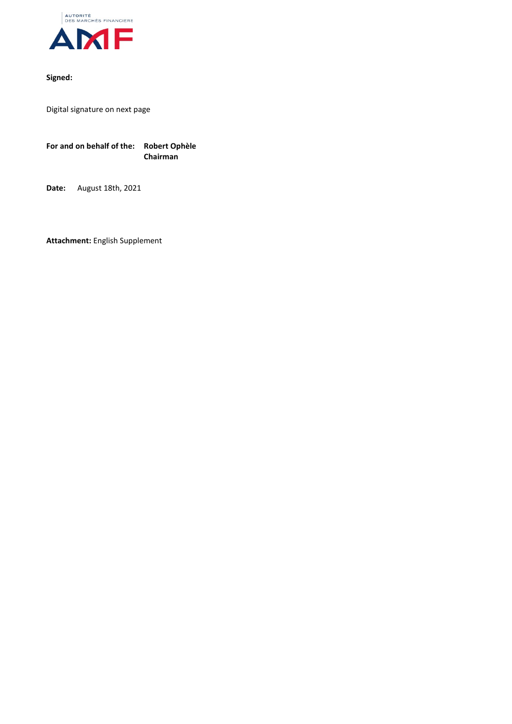

## **Signed:**

Digital signature on next page

**For and on behalf of the: Robert Ophèle Chairman**

**Date:** August 18th, 2021

**Attachment:** English Supplement